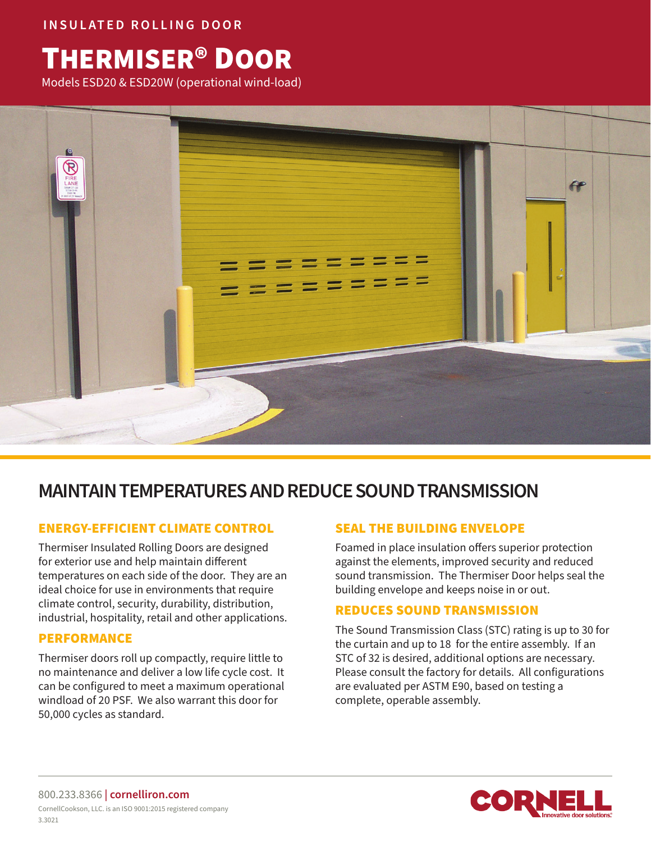**INSULATED ROLLING DOOR**

# THERMISER® DOOR

Models ESD20 & ESD20W (operational wind-load)



# **MAINTAIN TEMPERATURES AND REDUCE SOUND TRANSMISSION**

# ENERGY-EFFICIENT CLIMATE CONTROL

Thermiser Insulated Rolling Doors are designed for exterior use and help maintain different temperatures on each side of the door. They are an ideal choice for use in environments that require climate control, security, durability, distribution, industrial, hospitality, retail and other applications.

#### PERFORMANCE

Thermiser doors roll up compactly, require little to no maintenance and deliver a low life cycle cost. It can be configured to meet a maximum operational windload of 20 PSF. We also warrant this door for 50,000 cycles as standard.

# SEAL THE BUILDING ENVELOPE

Foamed in place insulation offers superior protection against the elements, improved security and reduced sound transmission. The Thermiser Door helps seal the building envelope and keeps noise in or out.

### REDUCES SOUND TRANSMISSION

The Sound Transmission Class (STC) rating is up to 30 for the curtain and up to 18 for the entire assembly. If an STC of 32 is desired, additional options are necessary. Please consult the factory for details. All configurations are evaluated per ASTM E90, based on testing a complete, operable assembly.